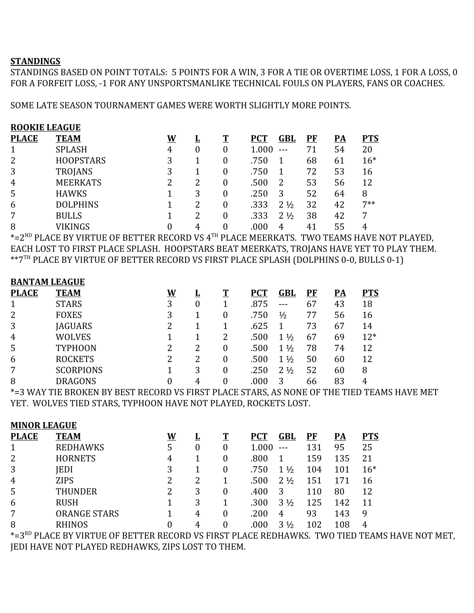## **STANDINGS**

STANDINGS BASED ON POINT TOTALS: 5 POINTS FOR A WIN, 3 FOR A TIE OR OVERTIME LOSS, 1 FOR A LOSS, 0 FOR A FORFEIT LOSS, -1 FOR ANY UNSPORTSMANLIKE TECHNICAL FOULS ON PLAYERS, FANS OR COACHES.

SOME LATE SEASON TOURNAMENT GAMES WERE WORTH SLIGHTLY MORE POINTS.

| <b>ROOKIE LEAGUE</b> |                  |   |          |   |            |                |    |    |            |
|----------------------|------------------|---|----------|---|------------|----------------|----|----|------------|
| <b>PLACE</b>         | <b>TEAM</b>      | W | <u>ц</u> |   | <b>PCT</b> | GBL            | PF | PA | <b>PTS</b> |
|                      | <b>SPLASH</b>    | 4 | $\theta$ | 0 | 1.000      | $---$          | 71 | 54 | 20         |
| 2                    | <b>HOOPSTARS</b> | 3 |          | 0 | .750       |                | 68 | 61 | $16*$      |
| 3                    | <b>TROJANS</b>   | 3 |          | 0 | .750       |                | 72 | 53 | 16         |
| $\overline{4}$       | <b>MEERKATS</b>  | 2 | 2        | 0 | .500       |                | 53 | 56 | 12         |
| 5                    | <b>HAWKS</b>     |   | 3        | 0 | .250       | 3              | 52 | 64 | 8          |
| 6                    | <b>DOLPHINS</b>  |   | 2        | 0 | .333       | $2\frac{1}{2}$ | 32 | 42 | $7**$      |
| 7                    | <b>BULLS</b>     |   | 2        | 0 | .333       | $2\frac{1}{2}$ | 38 | 42 | 7          |
| 8                    | <b>VIKINGS</b>   |   |          |   | .000       | 4              | 41 | 55 |            |

 $^{\ast}$ =2 $^{\text{\tiny{ND}}}$  PLACE BY VIRTUE OF BETTER RECORD VS 4 $^{\text{\tiny{TH}}}$  PLACE MEERKATS. TWO TEAMS HAVE NOT PLAYED, EACH LOST TO FIRST PLACE SPLASH. HOOPSTARS BEAT MEERKATS, TROJANS HAVE YET TO PLAY THEM. \*\*7TH PLACE BY VIRTUE OF BETTER RECORD VS FIRST PLACE SPLASH (DOLPHINS 0-0, BULLS 0-1)

## **BANTAM LEAGUE**

| <b>TEAM</b>      | W | <u>ப</u> | T | <b>PCT</b> | GBL            | PF | <u>PA</u> | <b>PTS</b> |
|------------------|---|----------|---|------------|----------------|----|-----------|------------|
| <b>STARS</b>     | 3 | 0        |   | .875       | ---            | 67 | 43        | 18         |
| <b>FOXES</b>     | 3 |          | 0 | .750       | $\frac{1}{2}$  | 77 | 56        | 16         |
| <b>JAGUARS</b>   | 2 |          |   | .625       |                | 73 | 67        | 14         |
| <b>WOLVES</b>    |   |          | 2 | .500       | $1\frac{1}{2}$ | 67 | 69        | $12*$      |
| <b>TYPHOON</b>   | 2 |          | 0 | .500       | $1\frac{1}{2}$ | 78 | 74        | 12         |
| <b>ROCKETS</b>   | 2 |          | 0 | .500       | $1\frac{1}{2}$ | 50 | 60        | 12         |
| <b>SCORPIONS</b> |   | 3        | 0 | .250       | $2\frac{1}{2}$ | 52 | 60        | 8          |
| DRAGONS          |   | 4        |   | .000       |                | 66 | 83        | 4          |
|                  |   |          |   |            |                |    |           |            |

\*=3 WAY TIE BROKEN BY BEST RECORD VS FIRST PLACE STARS, AS NONE OF THE TIED TEAMS HAVE MET YET. WOLVES TIED STARS, TYPHOON HAVE NOT PLAYED, ROCKETS LOST.

| <b>MINOR LEAGUE</b> |                     |          |   |          |            |                |         |           |            |
|---------------------|---------------------|----------|---|----------|------------|----------------|---------|-----------|------------|
| <b>PLACE</b>        | <b>TEAM</b>         | <u>W</u> |   |          | <b>PCT</b> | GBL            | $P$ $F$ | <u>PA</u> | <b>PTS</b> |
| $\mathbf 1$         | <b>REDHAWKS</b>     | 5        | 0 | $\theta$ | 1.000      | $- - -$        | 131     | 95        | 25         |
| 2                   | <b>HORNETS</b>      | 4        |   | $\theta$ | .800       |                | 159     | 135       | 21         |
| 3                   | <b>IEDI</b>         | 3        |   |          | .750       | $1\frac{1}{2}$ | 104     | 101       | $16*$      |
| $\overline{4}$      | <b>ZIPS</b>         |          | 2 |          | .500       | $2\frac{1}{2}$ | 151     | 171       | 16         |
| 5                   | THUNDER             | 2        | 3 |          | .400       | 3              | 110     | 80        | 12         |
| 6                   | <b>RUSH</b>         |          | 3 |          | .300       | $3\frac{1}{2}$ | 125     | 142       | 11         |
| 7                   | <b>ORANGE STARS</b> |          | 4 |          | .200       | 4              | 93      | 143       | 9          |
| 8                   | <b>RHINOS</b>       |          | 4 |          | .000       | $3\frac{1}{2}$ | 102     | 108       | 4          |
| $ -$                |                     |          |   |          |            |                |         |           |            |

\*=3<sup>RD</sup> PLACE BY VIRTUE OF BETTER RECORD VS FIRST PLACE REDHAWKS. TWO TIED TEAMS HAVE NOT MET, JEDI HAVE NOT PLAYED REDHAWKS, ZIPS LOST TO THEM.